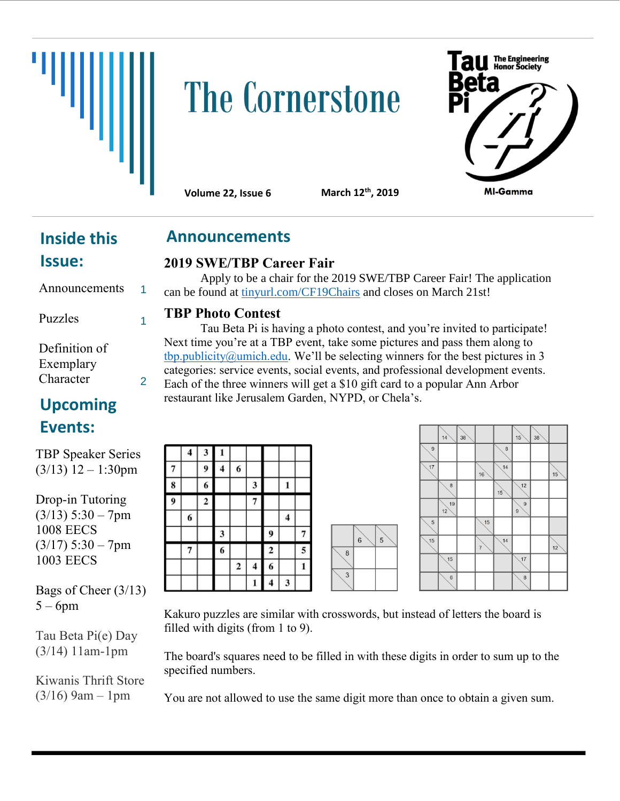

# **The Cornerstone**



**Volume 22, Issue 6** 

**th, 2019**

## **Inside this**

**Announcements**

#### **2019 SWE/TBP Career Fair**

Apply to be a chair for the 2019 SWE/TBP Career Fair! The application can be found at [tinyurl.com/CF19Chairs](https://tinyurl.com/CF19Chairs) and closes on March 21st!

#### **TBP Photo Contest**

Tau Beta Pi is having a photo contest, and you're invited to participate! Next time you're at a TBP event, take some pictures and pass them along to [tbp.publicity@umich.edu](mailto:tbp.publicity@umich.edu). We'll be selecting winners for the best pictures in 3 categories: service events, social events, and professional development events. Each of the three winners will get a \$10 gift card to a popular Ann Arbor restaurant like Jerusalem Garden, NYPD, or Chela's.

|   | $\overline{\mathbf{4}}$ | 3                       | ı              |                |                         |                |   |   |
|---|-------------------------|-------------------------|----------------|----------------|-------------------------|----------------|---|---|
|   |                         | 9                       | 4              | 6              |                         |                |   |   |
| 8 |                         | 6                       |                |                | $\mathbf{3}$            |                |   |   |
| 9 |                         | $\overline{\mathbf{c}}$ |                |                | 7                       |                |   |   |
|   | 6                       |                         |                |                |                         |                | 4 |   |
|   |                         |                         | 3              |                |                         | 9              |   | ŗ |
|   |                         |                         | $\overline{6}$ |                |                         | $\overline{2}$ |   | l |
|   |                         |                         |                | $\overline{2}$ | $\overline{\mathbf{4}}$ | 6              |   | 1 |
|   |                         |                         |                |                |                         | 4              | 3 |   |

|                | 6 | 5 |  |
|----------------|---|---|--|
| $\overline{8}$ |   |   |  |

|                | 14               | 38 |    |    | 15     | 38 |    |
|----------------|------------------|----|----|----|--------|----|----|
| $\overline{9}$ |                  |    |    | 8  |        |    |    |
| 17             |                  |    | 16 | 14 |        |    | 15 |
|                | 8                |    |    | 15 | 12     |    |    |
|                | 19<br>12         |    |    |    | 9<br>9 |    |    |
| $\overline{5}$ |                  |    | 15 |    |        |    |    |
| 15             |                  |    | 7  | 14 |        |    | 12 |
|                | 15               |    |    |    | 17     |    |    |
|                | $\boldsymbol{6}$ |    |    |    | 8      |    |    |

Kakuro puzzles are similar with crosswords, but instead of letters the board is filled with digits (from 1 to 9).

The board's squares need to be filled in with these digits in order to sum up to the specified numbers.

You are not allowed to use the same digit more than once to obtain a given sum.

| <b>Inside this</b> |  |
|--------------------|--|
| <b>Issue:</b>      |  |

Announcements Puzzles

1

1

2

Definition of Exemplary Character

### **Upcoming Events:**

TBP Speaker Series  $(3/13)$  12 – 1:30pm

Drop-in Tutoring  $(3/13)$  5:30 – 7pm 1008 EECS  $(3/17)$  5:30 – 7pm 1003 EECS

Bags of Cheer (3/13)  $5 - 6$ pm

Tau Beta Pi(e) Day (3/14) 11am-1pm

Kiwanis Thrift Store  $(3/16)$  9am – 1pm